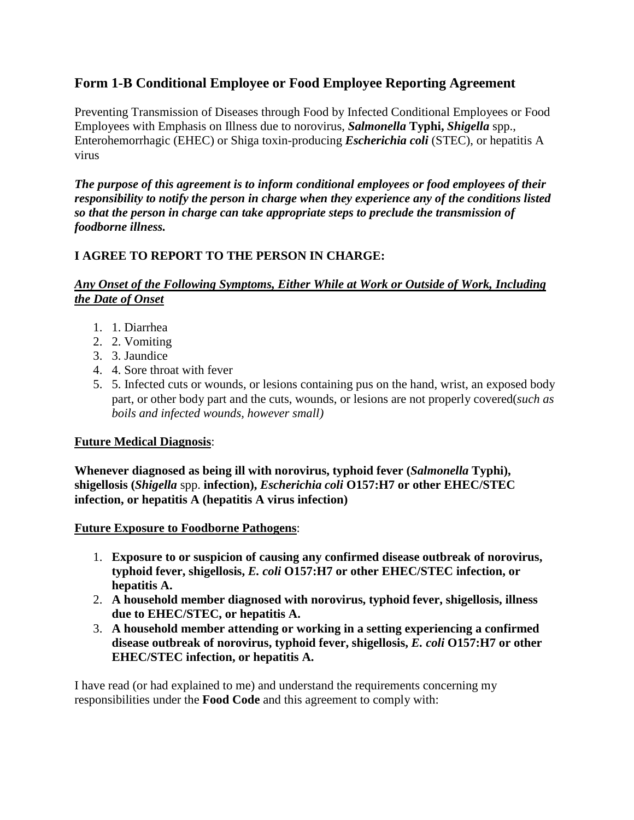## **Form 1-B Conditional Employee or Food Employee Reporting Agreement**

Preventing Transmission of Diseases through Food by Infected Conditional Employees or Food Employees with Emphasis on Illness due to norovirus, *Salmonella* **Typhi,** *Shigella* spp., Enterohemorrhagic (EHEC) or Shiga toxin-producing *Escherichia coli* (STEC), or hepatitis A virus

*The purpose of this agreement is to inform conditional employees or food employees of their responsibility to notify the person in charge when they experience any of the conditions listed so that the person in charge can take appropriate steps to preclude the transmission of foodborne illness.*

## **I AGREE TO REPORT TO THE PERSON IN CHARGE:**

## *Any Onset of the Following Symptoms, Either While at Work or Outside of Work, Including the Date of Onset*

- 1. 1. Diarrhea
- 2. 2. Vomiting
- 3. 3. Jaundice
- 4. 4. Sore throat with fever
- 5. 5. Infected cuts or wounds, or lesions containing pus on the hand, wrist, an exposed body part, or other body part and the cuts, wounds, or lesions are not properly covered(*such as boils and infected wounds, however small)*

## **Future Medical Diagnosis**:

**Whenever diagnosed as being ill with norovirus, typhoid fever (***Salmonella* **Typhi), shigellosis (***Shigella* spp. **infection),** *Escherichia coli* **O157:H7 or other EHEC/STEC infection, or hepatitis A (hepatitis A virus infection)**

**Future Exposure to Foodborne Pathogens**:

- 1. **Exposure to or suspicion of causing any confirmed disease outbreak of norovirus, typhoid fever, shigellosis,** *E. coli* **O157:H7 or other EHEC/STEC infection, or hepatitis A.**
- 2. **A household member diagnosed with norovirus, typhoid fever, shigellosis, illness due to EHEC/STEC, or hepatitis A.**
- 3. **A household member attending or working in a setting experiencing a confirmed disease outbreak of norovirus, typhoid fever, shigellosis,** *E. coli* **O157:H7 or other EHEC/STEC infection, or hepatitis A.**

I have read (or had explained to me) and understand the requirements concerning my responsibilities under the **Food Code** and this agreement to comply with: